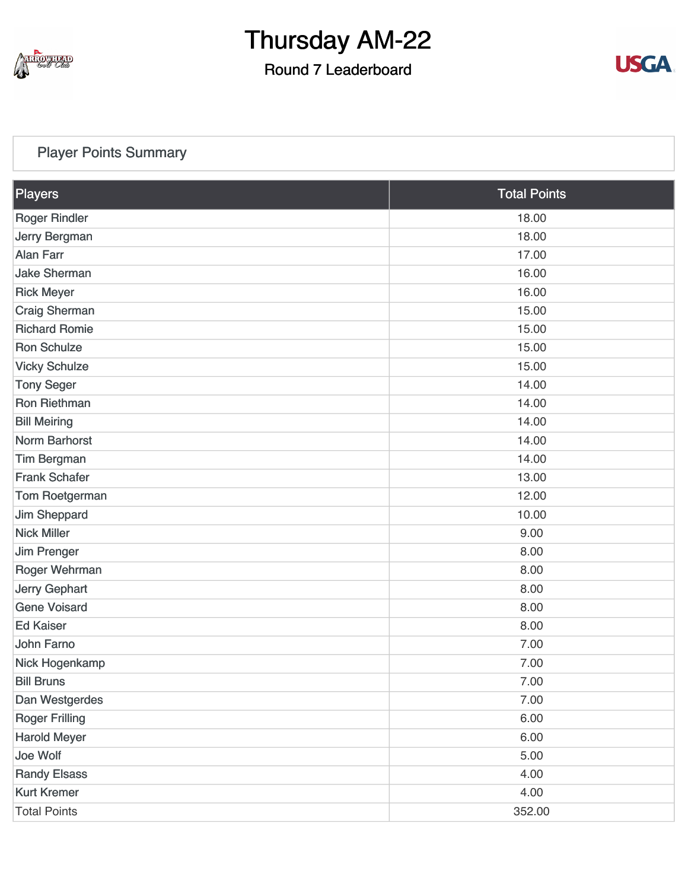

## Round 7 Leaderboard



### [Player Points Summary](https://static.golfgenius.com/v2tournaments/total_points?league_id=8234394788888061414&round_id=8404776576822027654)

| Players               | <b>Total Points</b> |  |
|-----------------------|---------------------|--|
| <b>Roger Rindler</b>  | 18.00               |  |
| Jerry Bergman         | 18.00               |  |
| <b>Alan Farr</b>      | 17.00               |  |
| <b>Jake Sherman</b>   | 16.00               |  |
| <b>Rick Meyer</b>     | 16.00               |  |
| <b>Craig Sherman</b>  | 15.00               |  |
| <b>Richard Romie</b>  | 15.00               |  |
| <b>Ron Schulze</b>    | 15.00               |  |
| <b>Vicky Schulze</b>  | 15.00               |  |
| <b>Tony Seger</b>     | 14.00               |  |
| Ron Riethman          | 14.00               |  |
| <b>Bill Meiring</b>   | 14.00               |  |
| Norm Barhorst         | 14.00               |  |
| <b>Tim Bergman</b>    | 14.00               |  |
| <b>Frank Schafer</b>  | 13.00               |  |
| Tom Roetgerman        | 12.00               |  |
| Jim Sheppard          | 10.00               |  |
| <b>Nick Miller</b>    | 9.00                |  |
| Jim Prenger           | 8.00                |  |
| Roger Wehrman         | 8.00                |  |
| <b>Jerry Gephart</b>  | 8.00                |  |
| <b>Gene Voisard</b>   | 8.00                |  |
| <b>Ed Kaiser</b>      | 8.00                |  |
| John Farno            | 7.00                |  |
| Nick Hogenkamp        | 7.00                |  |
| <b>Bill Bruns</b>     | 7.00                |  |
| Dan Westgerdes        | 7.00                |  |
| <b>Roger Frilling</b> | 6.00                |  |
| <b>Harold Meyer</b>   | 6.00                |  |
| Joe Wolf              | 5.00                |  |
| <b>Randy Elsass</b>   | 4.00                |  |
| <b>Kurt Kremer</b>    | 4.00                |  |
| <b>Total Points</b>   | 352.00              |  |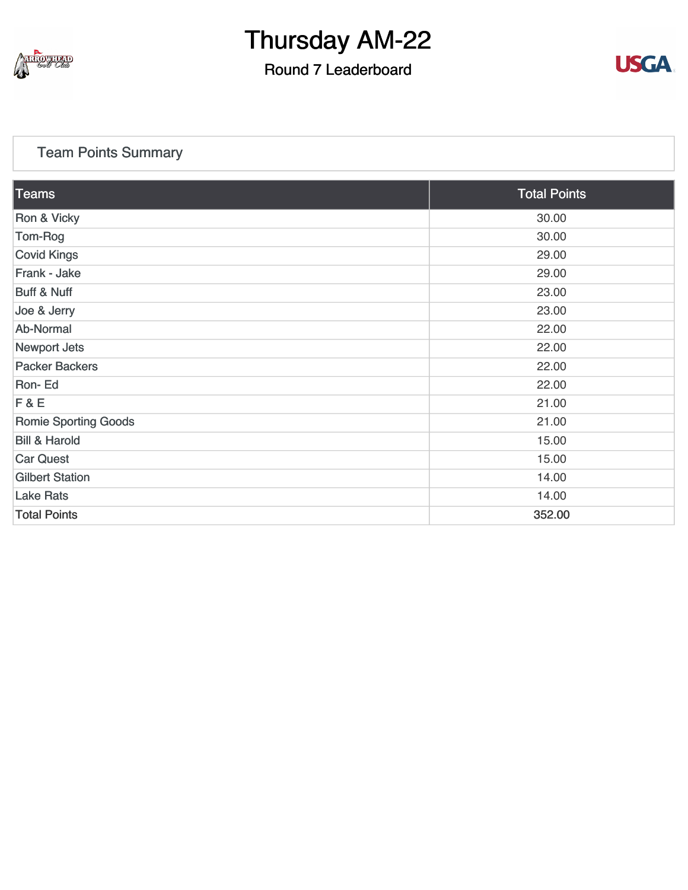

## Round 7 Leaderboard



### [Team Points Summary](https://static.golfgenius.com/v2tournaments/team_points?league_id=8234394788888061414&round_id=8404776576822027654)

| <b>Teams</b>                | <b>Total Points</b> |
|-----------------------------|---------------------|
| Ron & Vicky                 | 30.00               |
| Tom-Rog                     | 30.00               |
| <b>Covid Kings</b>          | 29.00               |
| Frank - Jake                | 29.00               |
| <b>Buff &amp; Nuff</b>      | 23.00               |
| Joe & Jerry                 | 23.00               |
| Ab-Normal                   | 22.00               |
| <b>Newport Jets</b>         | 22.00               |
| <b>Packer Backers</b>       | 22.00               |
| Ron-Ed                      | 22.00               |
| F&E                         | 21.00               |
| <b>Romie Sporting Goods</b> | 21.00               |
| <b>Bill &amp; Harold</b>    | 15.00               |
| <b>Car Quest</b>            | 15.00               |
| <b>Gilbert Station</b>      | 14.00               |
| <b>Lake Rats</b>            | 14.00               |
| <b>Total Points</b>         | 352.00              |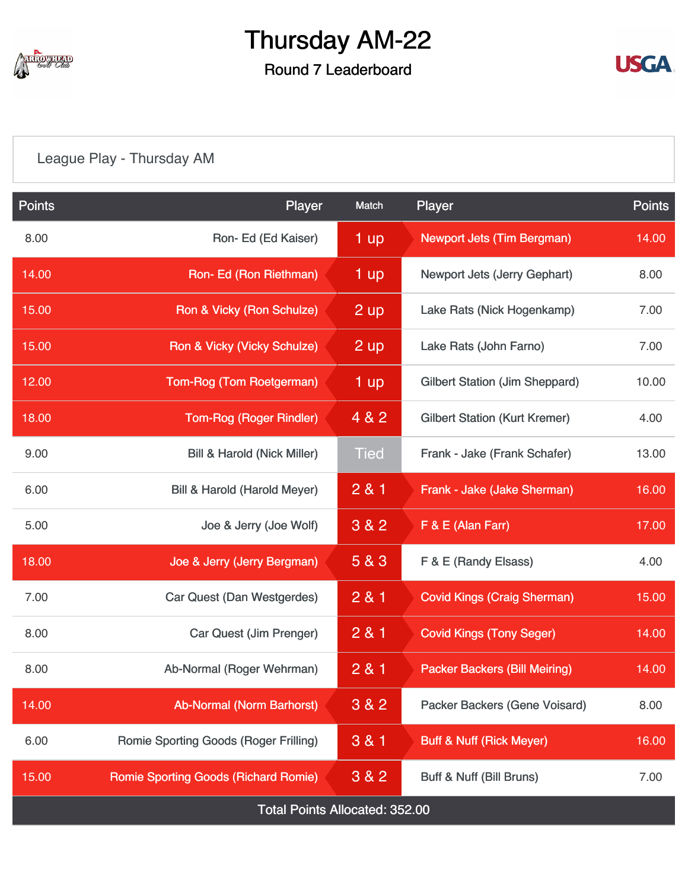

# Round 7 Leaderboard



# [League Play - Thursday AM](https://static.golfgenius.com/v2tournaments/8404788162496308532?called_from=&round_index=7)

| <b>Points</b>                         | Player                                      | Match       | <b>Player</b>                                | <b>Points</b> |  |  |
|---------------------------------------|---------------------------------------------|-------------|----------------------------------------------|---------------|--|--|
| 8.00                                  | Ron-Ed (Ed Kaiser)                          | 1 up        | <b>Newport Jets (Tim Bergman)</b>            | 14.00         |  |  |
| 14.00                                 | Ron- Ed (Ron Riethman)                      | 1 up        | Newport Jets (Jerry Gephart)                 | 8.00          |  |  |
| 15.00                                 | Ron & Vicky (Ron Schulze)                   | 2 up        | Lake Rats (Nick Hogenkamp)                   | 7.00          |  |  |
| 15.00                                 | Ron & Vicky (Vicky Schulze)                 | $2$ up      | Lake Rats (John Farno)                       | 7.00          |  |  |
| 12.00                                 | Tom-Rog (Tom Roetgerman)                    | 1 up        | <b>Gilbert Station (Jim Sheppard)</b>        | 10.00         |  |  |
| 18.00                                 | <b>Tom-Rog (Roger Rindler)</b>              | 4 & 2       | <b>Gilbert Station (Kurt Kremer)</b>         | 4.00          |  |  |
| 9.00                                  | <b>Bill &amp; Harold (Nick Miller)</b>      | <b>Tied</b> | Frank - Jake (Frank Schafer)                 | 13.00         |  |  |
| 6.00                                  | Bill & Harold (Harold Meyer)                | 281         | Frank - Jake (Jake Sherman)                  | 16.00         |  |  |
| 5.00                                  | Joe & Jerry (Joe Wolf)                      | 3 & 2       | $F & E$ (Alan Farr)                          | 17.00         |  |  |
| 18.00                                 | Joe & Jerry (Jerry Bergman)                 | 5 & 3       | F & E (Randy Elsass)<br>4.00                 |               |  |  |
| 7.00                                  | Car Quest (Dan Westgerdes)                  | 2 & 1       | <b>Covid Kings (Craig Sherman)</b><br>15.00  |               |  |  |
| 8.00                                  | Car Quest (Jim Prenger)                     | 2 & 1       | <b>Covid Kings (Tony Seger)</b>              | 14.00         |  |  |
| 8.00                                  | Ab-Normal (Roger Wehrman)                   | 2 & 1       | <b>Packer Backers (Bill Meiring)</b>         | 14.00         |  |  |
| 14.00                                 | <b>Ab-Normal (Norm Barhorst)</b>            | 3 & 2       | Packer Backers (Gene Voisard)                | 8.00          |  |  |
| 6.00                                  | Romie Sporting Goods (Roger Frilling)       | 3 & 1       | <b>Buff &amp; Nuff (Rick Meyer)</b><br>16.00 |               |  |  |
| 15.00                                 | <b>Romie Sporting Goods (Richard Romie)</b> | 3 & 2       | Buff & Nuff (Bill Bruns)                     | 7.00          |  |  |
| <b>Total Points Allocated: 352.00</b> |                                             |             |                                              |               |  |  |